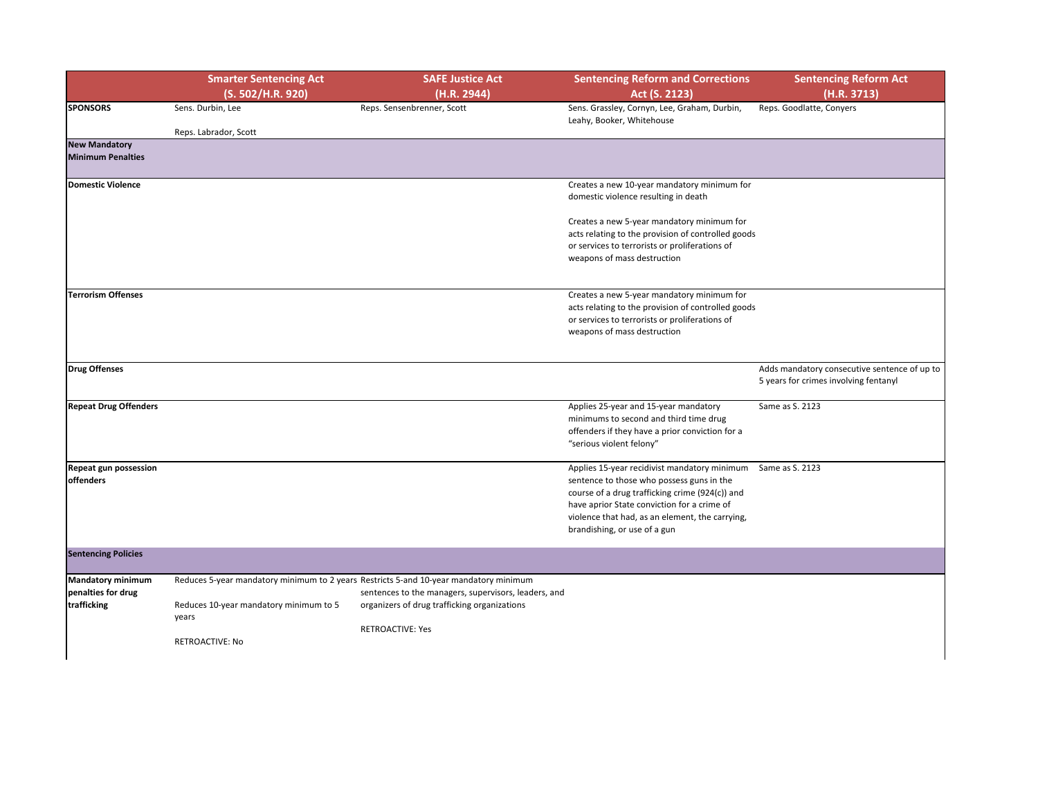|                              | <b>Smarter Sentencing Act</b>          | <b>SAFE Justice Act</b>                                                               | <b>Sentencing Reform and Corrections</b>                                                                                                                       | <b>Sentencing Reform Act</b>                                                          |
|------------------------------|----------------------------------------|---------------------------------------------------------------------------------------|----------------------------------------------------------------------------------------------------------------------------------------------------------------|---------------------------------------------------------------------------------------|
|                              | (S. 502/H.R. 920)                      | (H.R. 2944)                                                                           | Act (S. 2123)                                                                                                                                                  | (H.R. 3713)                                                                           |
| <b>SPONSORS</b>              | Sens. Durbin, Lee                      | Reps. Sensenbrenner, Scott                                                            | Sens. Grassley, Cornyn, Lee, Graham, Durbin,<br>Leahy, Booker, Whitehouse                                                                                      | Reps. Goodlatte, Conyers                                                              |
|                              | Reps. Labrador, Scott                  |                                                                                       |                                                                                                                                                                |                                                                                       |
| <b>New Mandatory</b>         |                                        |                                                                                       |                                                                                                                                                                |                                                                                       |
| <b>Minimum Penalties</b>     |                                        |                                                                                       |                                                                                                                                                                |                                                                                       |
| Domestic Violence            |                                        |                                                                                       | Creates a new 10-year mandatory minimum for                                                                                                                    |                                                                                       |
|                              |                                        |                                                                                       | domestic violence resulting in death                                                                                                                           |                                                                                       |
|                              |                                        |                                                                                       | Creates a new 5-year mandatory minimum for                                                                                                                     |                                                                                       |
|                              |                                        |                                                                                       | acts relating to the provision of controlled goods                                                                                                             |                                                                                       |
|                              |                                        |                                                                                       | or services to terrorists or proliferations of                                                                                                                 |                                                                                       |
|                              |                                        |                                                                                       | weapons of mass destruction                                                                                                                                    |                                                                                       |
| Terrorism Offenses           |                                        |                                                                                       | Creates a new 5-year mandatory minimum for                                                                                                                     |                                                                                       |
|                              |                                        |                                                                                       | acts relating to the provision of controlled goods                                                                                                             |                                                                                       |
|                              |                                        |                                                                                       | or services to terrorists or proliferations of                                                                                                                 |                                                                                       |
|                              |                                        |                                                                                       | weapons of mass destruction                                                                                                                                    |                                                                                       |
|                              |                                        |                                                                                       |                                                                                                                                                                |                                                                                       |
| Drug Offenses                |                                        |                                                                                       |                                                                                                                                                                | Adds mandatory consecutive sentence of up to<br>5 years for crimes involving fentanyl |
| <b>Repeat Drug Offenders</b> |                                        |                                                                                       | Applies 25-year and 15-year mandatory<br>minimums to second and third time drug<br>offenders if they have a prior conviction for a<br>"serious violent felony" | Same as S. 2123                                                                       |
| <b>Repeat gun possession</b> |                                        |                                                                                       | Applies 15-year recidivist mandatory minimum Same as S. 2123                                                                                                   |                                                                                       |
| <b>offenders</b>             |                                        |                                                                                       | sentence to those who possess guns in the                                                                                                                      |                                                                                       |
|                              |                                        |                                                                                       | course of a drug trafficking crime (924(c)) and                                                                                                                |                                                                                       |
|                              |                                        |                                                                                       | have aprior State conviction for a crime of                                                                                                                    |                                                                                       |
|                              |                                        |                                                                                       | violence that had, as an element, the carrying,                                                                                                                |                                                                                       |
|                              |                                        |                                                                                       | brandishing, or use of a gun                                                                                                                                   |                                                                                       |
| <b>Sentencing Policies</b>   |                                        |                                                                                       |                                                                                                                                                                |                                                                                       |
| Mandatory minimum            |                                        | Reduces 5-year mandatory minimum to 2 years Restricts 5-and 10-year mandatory minimum |                                                                                                                                                                |                                                                                       |
| penalties for drug           |                                        | sentences to the managers, supervisors, leaders, and                                  |                                                                                                                                                                |                                                                                       |
| trafficking                  | Reduces 10-year mandatory minimum to 5 | organizers of drug trafficking organizations                                          |                                                                                                                                                                |                                                                                       |
|                              | years                                  |                                                                                       |                                                                                                                                                                |                                                                                       |
|                              |                                        | <b>RETROACTIVE: Yes</b>                                                               |                                                                                                                                                                |                                                                                       |
|                              | <b>RETROACTIVE: No</b>                 |                                                                                       |                                                                                                                                                                |                                                                                       |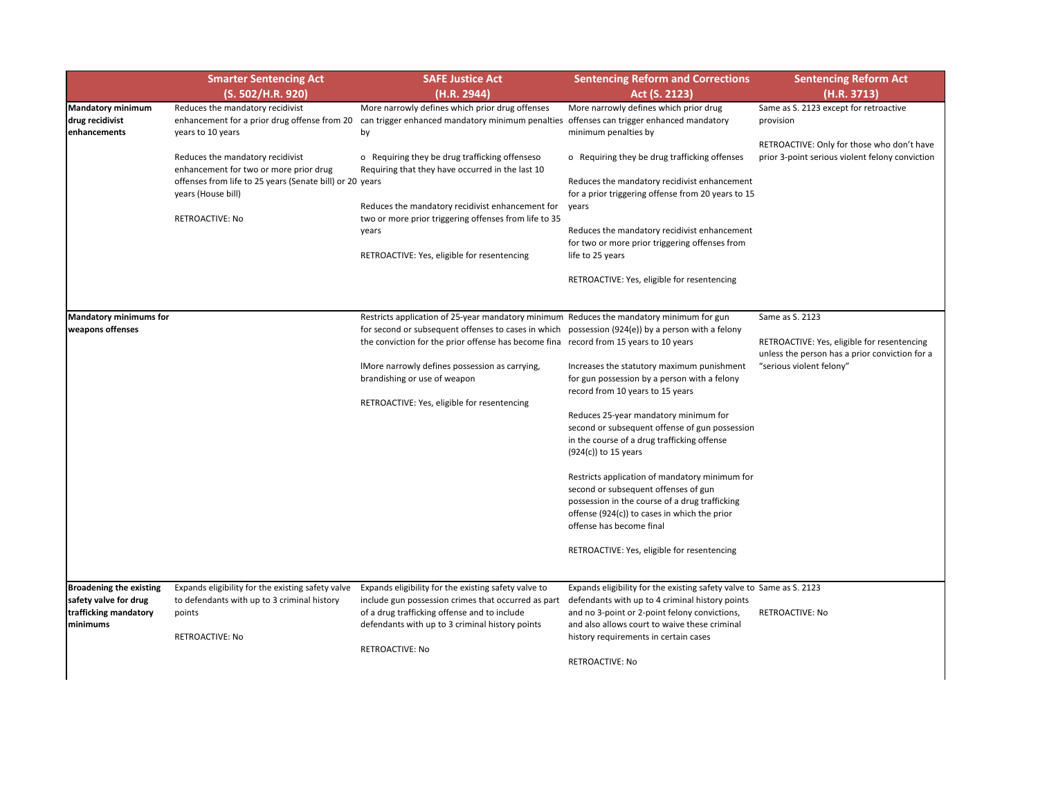| <b>Sentencing Reform Act</b><br>(H.R. 3713)                                                                               |
|---------------------------------------------------------------------------------------------------------------------------|
| Same as S. 2123 except for retroactive<br>provision                                                                       |
| RETROACTIVE: Only for those who don't have<br>prior 3-point serious violent felony conviction                             |
| Same as S. 2123                                                                                                           |
| RETROACTIVE: Yes, eligible for resentencing<br>unless the person has a prior conviction for a<br>"serious violent felony" |
|                                                                                                                           |
|                                                                                                                           |
|                                                                                                                           |
|                                                                                                                           |

ame as S. 2123

|                                                                                              | <b>Smarter Sentencing Act</b><br>(S. 502/H.R. 920)                                                                                                                               | <b>SAFE Justice Act</b><br>(H.R. 2944)                                                                                                                                                                                                                                                 | <b>Sentencing Reform and Corrections</b><br>Act (S. 2123)                                                                                                                                                                                                                       |                           |
|----------------------------------------------------------------------------------------------|----------------------------------------------------------------------------------------------------------------------------------------------------------------------------------|----------------------------------------------------------------------------------------------------------------------------------------------------------------------------------------------------------------------------------------------------------------------------------------|---------------------------------------------------------------------------------------------------------------------------------------------------------------------------------------------------------------------------------------------------------------------------------|---------------------------|
| <b>Mandatory minimum</b><br>drug recidivist<br>enhancements                                  | Reduces the mandatory recidivist<br>enhancement for a prior drug offense from 20<br>years to 10 years                                                                            | More narrowly defines which prior drug offenses<br>can trigger enhanced mandatory minimum penalties<br>by                                                                                                                                                                              | More narrowly defines which prior drug<br>offenses can trigger enhanced mandatory<br>minimum penalties by                                                                                                                                                                       | Sa<br>pr                  |
|                                                                                              | Reduces the mandatory recidivist<br>enhancement for two or more prior drug<br>offenses from life to 25 years (Senate bill) or 20<br>years (House bill)<br><b>RETROACTIVE: No</b> | o Requiring they be drug trafficking offenseso<br>Requiring that they have occurred in the last 10<br>years<br>Reduces the mandatory recidivist enhancement for<br>two or more prior triggering offenses from life to 35<br>years                                                      | o Requiring they be drug trafficking offenses<br>Reduces the mandatory recidivist enhancement<br>for a prior triggering offense from 20 years to 15<br>years<br>Reduces the mandatory recidivist enhancement<br>for two or more prior triggering offenses from                  | R<br>pr                   |
|                                                                                              |                                                                                                                                                                                  | RETROACTIVE: Yes, eligible for resentencing                                                                                                                                                                                                                                            | life to 25 years<br>RETROACTIVE: Yes, eligible for resentencing                                                                                                                                                                                                                 |                           |
| <b>Mandatory minimums for</b><br>weapons offenses                                            |                                                                                                                                                                                  | Restricts application of 25-year mandatory minimum Reduces the mandatory minimum for gun<br>for second or subsequent offenses to cases in which possession (924(e)) by a person with a felony<br>the conviction for the prior offense has become fina record from 15 years to 10 years |                                                                                                                                                                                                                                                                                 | Sa<br>Rf                  |
|                                                                                              |                                                                                                                                                                                  | IMore narrowly defines possession as carrying,<br>brandishing or use of weapon<br>RETROACTIVE: Yes, eligible for resentencing                                                                                                                                                          | Increases the statutory maximum punishment<br>for gun possession by a person with a felony<br>record from 10 years to 15 years                                                                                                                                                  | ur<br>$^{\prime\prime}$ s |
|                                                                                              |                                                                                                                                                                                  |                                                                                                                                                                                                                                                                                        | Reduces 25-year mandatory minimum for<br>second or subsequent offense of gun possession<br>in the course of a drug trafficking offense<br>(924(c)) to 15 years                                                                                                                  |                           |
|                                                                                              |                                                                                                                                                                                  |                                                                                                                                                                                                                                                                                        | Restricts application of mandatory minimum for<br>second or subsequent offenses of gun<br>possession in the course of a drug trafficking<br>offense (924(c)) to cases in which the prior<br>offense has become final                                                            |                           |
|                                                                                              |                                                                                                                                                                                  |                                                                                                                                                                                                                                                                                        | RETROACTIVE: Yes, eligible for resentencing                                                                                                                                                                                                                                     |                           |
| <b>Broadening the existing</b><br>safety valve for drug<br>trafficking mandatory<br>minimums | Expands eligibility for the existing safety valve<br>to defendants with up to 3 criminal history<br>points<br><b>RETROACTIVE: No</b>                                             | Expands eligibility for the existing safety valve to<br>include gun possession crimes that occurred as part<br>of a drug trafficking offense and to include<br>defendants with up to 3 criminal history points<br><b>RETROACTIVE: No</b>                                               | Expands eligibility for the existing safety valve to Sa<br>defendants with up to 4 criminal history points<br>and no 3-point or 2-point felony convictions,<br>and also allows court to waive these criminal<br>history requirements in certain cases<br><b>RETROACTIVE: No</b> | Rf                        |

RETROACTIVE: No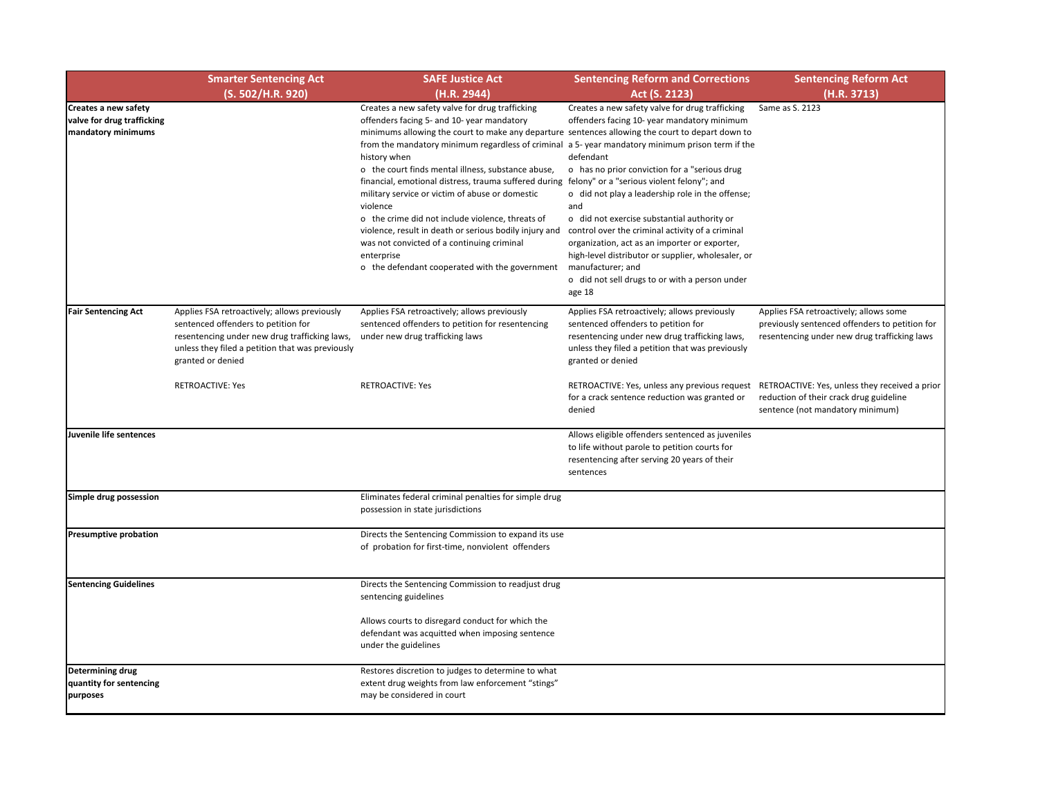| <b>Sentencing Reform Act</b>                   |
|------------------------------------------------|
| (H.R. 3713)                                    |
| Same as S. 2123                                |
|                                                |
|                                                |
|                                                |
|                                                |
|                                                |
|                                                |
|                                                |
|                                                |
|                                                |
|                                                |
|                                                |
|                                                |
|                                                |
| Applies FSA retroactively; allows some         |
| previously sentenced offenders to petition for |
| resentencing under new drug trafficking laws   |
|                                                |
|                                                |
| RETROACTIVE: Yes, unless they received a prior |
| reduction of their crack drug guideline        |
| sentence (not mandatory minimum)               |
|                                                |
|                                                |
|                                                |
|                                                |
|                                                |
|                                                |
|                                                |
|                                                |
|                                                |
|                                                |
|                                                |
|                                                |
|                                                |
|                                                |
|                                                |
|                                                |
|                                                |
|                                                |
|                                                |
|                                                |
|                                                |

|                                                                          | <b>Smarter Sentencing Act</b><br>(S. 502/H.R. 920)                                                                                                                                                            | <b>SAFE Justice Act</b><br>(H.R. 2944)                                                                                                                                                                                                                                                                                                                                                                                                                                                                                                                                                                                                                                                                                          | <b>Sentencing Reform and Corrections</b><br>Act (S. 2123)                                                                                                                                                                                                                                                                                                                                                                                                                                                                                                              |
|--------------------------------------------------------------------------|---------------------------------------------------------------------------------------------------------------------------------------------------------------------------------------------------------------|---------------------------------------------------------------------------------------------------------------------------------------------------------------------------------------------------------------------------------------------------------------------------------------------------------------------------------------------------------------------------------------------------------------------------------------------------------------------------------------------------------------------------------------------------------------------------------------------------------------------------------------------------------------------------------------------------------------------------------|------------------------------------------------------------------------------------------------------------------------------------------------------------------------------------------------------------------------------------------------------------------------------------------------------------------------------------------------------------------------------------------------------------------------------------------------------------------------------------------------------------------------------------------------------------------------|
| Creates a new safety<br>valve for drug trafficking<br>mandatory minimums |                                                                                                                                                                                                               | Creates a new safety valve for drug trafficking<br>offenders facing 5- and 10- year mandatory<br>minimums allowing the court to make any departure sentences allowing the court to depart down to<br>from the mandatory minimum regardless of criminal a 5- year mandatory minimum prison term if the<br>history when<br>o the court finds mental illness, substance abuse,<br>financial, emotional distress, trauma suffered during<br>military service or victim of abuse or domestic<br>violence<br>o the crime did not include violence, threats of<br>violence, result in death or serious bodily injury and<br>was not convicted of a continuing criminal<br>enterprise<br>o the defendant cooperated with the government | Creates a new safety valve for drug trafficking<br>Sa<br>offenders facing 10- year mandatory minimum<br>defendant<br>o has no prior conviction for a "serious drug<br>felony" or a "serious violent felony"; and<br>o did not play a leadership role in the offense;<br>and<br>o did not exercise substantial authority or<br>control over the criminal activity of a criminal<br>organization, act as an importer or exporter,<br>high-level distributor or supplier, wholesaler, or<br>manufacturer; and<br>o did not sell drugs to or with a person under<br>age 18 |
| <b>Fair Sentencing Act</b>                                               | Applies FSA retroactively; allows previously<br>sentenced offenders to petition for<br>resentencing under new drug trafficking laws,<br>unless they filed a petition that was previously<br>granted or denied | Applies FSA retroactively; allows previously<br>sentenced offenders to petition for resentencing<br>under new drug trafficking laws                                                                                                                                                                                                                                                                                                                                                                                                                                                                                                                                                                                             | Applies FSA retroactively; allows previously<br>Αŗ<br>sentenced offenders to petition for<br>pr<br>resentencing under new drug trafficking laws,<br>re<br>unless they filed a petition that was previously<br>granted or denied                                                                                                                                                                                                                                                                                                                                        |
|                                                                          | <b>RETROACTIVE: Yes</b>                                                                                                                                                                                       | <b>RETROACTIVE: Yes</b>                                                                                                                                                                                                                                                                                                                                                                                                                                                                                                                                                                                                                                                                                                         | RETROACTIVE: Yes, unless any previous request RE<br>for a crack sentence reduction was granted or<br>re<br>denied<br>se                                                                                                                                                                                                                                                                                                                                                                                                                                                |
| Juvenile life sentences                                                  |                                                                                                                                                                                                               |                                                                                                                                                                                                                                                                                                                                                                                                                                                                                                                                                                                                                                                                                                                                 | Allows eligible offenders sentenced as juveniles<br>to life without parole to petition courts for<br>resentencing after serving 20 years of their<br>sentences                                                                                                                                                                                                                                                                                                                                                                                                         |
| Simple drug possession                                                   |                                                                                                                                                                                                               | Eliminates federal criminal penalties for simple drug<br>possession in state jurisdictions                                                                                                                                                                                                                                                                                                                                                                                                                                                                                                                                                                                                                                      |                                                                                                                                                                                                                                                                                                                                                                                                                                                                                                                                                                        |
| <b>Presumptive probation</b>                                             |                                                                                                                                                                                                               | Directs the Sentencing Commission to expand its use<br>of probation for first-time, nonviolent offenders                                                                                                                                                                                                                                                                                                                                                                                                                                                                                                                                                                                                                        |                                                                                                                                                                                                                                                                                                                                                                                                                                                                                                                                                                        |
| <b>Sentencing Guidelines</b>                                             |                                                                                                                                                                                                               | Directs the Sentencing Commission to readjust drug<br>sentencing guidelines                                                                                                                                                                                                                                                                                                                                                                                                                                                                                                                                                                                                                                                     |                                                                                                                                                                                                                                                                                                                                                                                                                                                                                                                                                                        |
|                                                                          |                                                                                                                                                                                                               | Allows courts to disregard conduct for which the<br>defendant was acquitted when imposing sentence<br>under the guidelines                                                                                                                                                                                                                                                                                                                                                                                                                                                                                                                                                                                                      |                                                                                                                                                                                                                                                                                                                                                                                                                                                                                                                                                                        |
| <b>Determining drug</b><br>quantity for sentencing<br>purposes           |                                                                                                                                                                                                               | Restores discretion to judges to determine to what<br>extent drug weights from law enforcement "stings"<br>may be considered in court                                                                                                                                                                                                                                                                                                                                                                                                                                                                                                                                                                                           |                                                                                                                                                                                                                                                                                                                                                                                                                                                                                                                                                                        |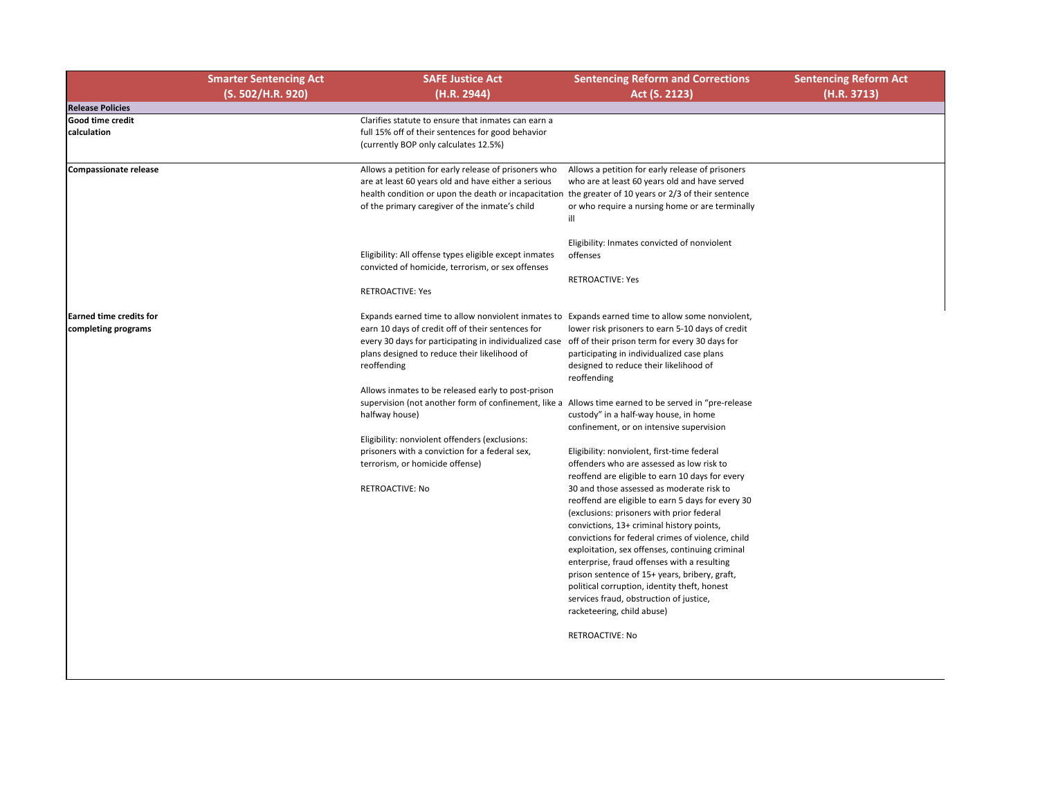## **Sentencing Reform Act (H.R. 3713)**

|                                                       | <b>Smarter Sentencing Act</b> | <b>SAFE Justice Act</b>                                                                                                                                                                                                                                                | <b>Sentencing Reform and Corrections</b>                                                                                                                                                                                                                                                                                                                                                                                                                                                                                  |
|-------------------------------------------------------|-------------------------------|------------------------------------------------------------------------------------------------------------------------------------------------------------------------------------------------------------------------------------------------------------------------|---------------------------------------------------------------------------------------------------------------------------------------------------------------------------------------------------------------------------------------------------------------------------------------------------------------------------------------------------------------------------------------------------------------------------------------------------------------------------------------------------------------------------|
|                                                       | (S. 502/H.R. 920)             | (H.R. 2944)                                                                                                                                                                                                                                                            | Act (S. 2123)                                                                                                                                                                                                                                                                                                                                                                                                                                                                                                             |
| <b>Release Policies</b>                               |                               |                                                                                                                                                                                                                                                                        |                                                                                                                                                                                                                                                                                                                                                                                                                                                                                                                           |
| <b>Good time credit</b><br>calculation                |                               | Clarifies statute to ensure that inmates can earn a<br>full 15% off of their sentences for good behavior<br>(currently BOP only calculates 12.5%)                                                                                                                      |                                                                                                                                                                                                                                                                                                                                                                                                                                                                                                                           |
| <b>Compassionate release</b>                          |                               | Allows a petition for early release of prisoners who<br>are at least 60 years old and have either a serious<br>health condition or upon the death or incapacitation the greater of 10 years or 2/3 of their sentence<br>of the primary caregiver of the inmate's child | Allows a petition for early release of prisoners<br>who are at least 60 years old and have served<br>or who require a nursing home or are terminally<br>-ill                                                                                                                                                                                                                                                                                                                                                              |
|                                                       |                               | Eligibility: All offense types eligible except inmates<br>convicted of homicide, terrorism, or sex offenses<br><b>RETROACTIVE: Yes</b>                                                                                                                                 | Eligibility: Inmates convicted of nonviolent<br>offenses<br><b>RETROACTIVE: Yes</b>                                                                                                                                                                                                                                                                                                                                                                                                                                       |
|                                                       |                               |                                                                                                                                                                                                                                                                        |                                                                                                                                                                                                                                                                                                                                                                                                                                                                                                                           |
| <b>Earned time credits for</b><br>completing programs |                               | Expands earned time to allow nonviolent inmates to<br>earn 10 days of credit off of their sentences for<br>every 30 days for participating in individualized case<br>plans designed to reduce their likelihood of<br>reoffending                                       | Expands earned time to allow some nonviolent,<br>lower risk prisoners to earn 5-10 days of credit<br>off of their prison term for every 30 days for<br>participating in individualized case plans<br>designed to reduce their likelihood of<br>reoffending                                                                                                                                                                                                                                                                |
|                                                       |                               | Allows inmates to be released early to post-prison<br>supervision (not another form of confinement, like a<br>halfway house)                                                                                                                                           | Allows time earned to be served in "pre-release<br>custody" in a half-way house, in home<br>confinement, or on intensive supervision                                                                                                                                                                                                                                                                                                                                                                                      |
|                                                       |                               | Eligibility: nonviolent offenders (exclusions:<br>prisoners with a conviction for a federal sex,<br>terrorism, or homicide offense)                                                                                                                                    | Eligibility: nonviolent, first-time federal<br>offenders who are assessed as low risk to<br>reoffend are eligible to earn 10 days for every                                                                                                                                                                                                                                                                                                                                                                               |
|                                                       |                               | <b>RETROACTIVE: No</b>                                                                                                                                                                                                                                                 | 30 and those assessed as moderate risk to<br>reoffend are eligible to earn 5 days for every 30<br>(exclusions: prisoners with prior federal<br>convictions, 13+ criminal history points,<br>convictions for federal crimes of violence, child<br>exploitation, sex offenses, continuing criminal<br>enterprise, fraud offenses with a resulting<br>prison sentence of 15+ years, bribery, graft,<br>political corruption, identity theft, honest<br>services fraud, obstruction of justice,<br>racketeering, child abuse) |
|                                                       |                               |                                                                                                                                                                                                                                                                        | <b>RETROACTIVE: No</b>                                                                                                                                                                                                                                                                                                                                                                                                                                                                                                    |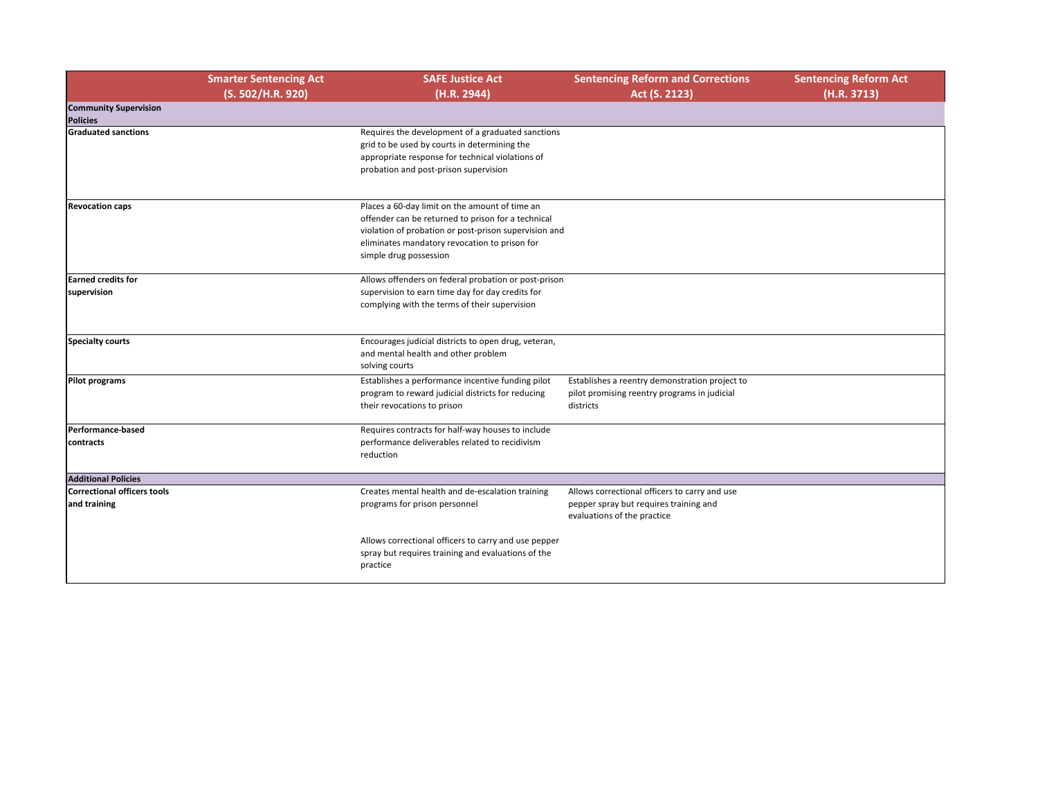| and Corrections<br>2123)                    | <b>Sentencing Reform Act</b><br>(H.R. 3713) |
|---------------------------------------------|---------------------------------------------|
|                                             |                                             |
|                                             |                                             |
|                                             |                                             |
|                                             |                                             |
|                                             |                                             |
|                                             |                                             |
|                                             |                                             |
|                                             |                                             |
|                                             |                                             |
|                                             |                                             |
|                                             |                                             |
| onstration project to<br>ograms in judicial |                                             |
|                                             |                                             |
|                                             |                                             |
|                                             |                                             |
| rs to carry and use<br>straining and        |                                             |
| e                                           |                                             |
|                                             |                                             |
|                                             |                                             |

|                                                    | <b>Smarter Sentencing Act</b><br>(S. 502/H.R. 920) | <b>SAFE Justice Act</b><br>(H.R. 2944)                                                                                                                                                                                                   | <b>Sentencing Reform and Corrections</b><br>Act (S. 2123)                                                              |
|----------------------------------------------------|----------------------------------------------------|------------------------------------------------------------------------------------------------------------------------------------------------------------------------------------------------------------------------------------------|------------------------------------------------------------------------------------------------------------------------|
| <b>Community Supervision</b><br><b>Policies</b>    |                                                    |                                                                                                                                                                                                                                          |                                                                                                                        |
| <b>Graduated sanctions</b>                         |                                                    | Requires the development of a graduated sanctions<br>grid to be used by courts in determining the<br>appropriate response for technical violations of<br>probation and post-prison supervision                                           |                                                                                                                        |
| <b>Revocation caps</b>                             |                                                    | Places a 60-day limit on the amount of time an<br>offender can be returned to prison for a technical<br>violation of probation or post-prison supervision and<br>eliminates mandatory revocation to prison for<br>simple drug possession |                                                                                                                        |
| <b>Earned credits for</b><br>supervision           |                                                    | Allows offenders on federal probation or post-prison<br>supervision to earn time day for day credits for<br>complying with the terms of their supervision                                                                                |                                                                                                                        |
| <b>Specialty courts</b>                            |                                                    | Encourages judicial districts to open drug, veteran,<br>and mental health and other problem<br>solving courts                                                                                                                            |                                                                                                                        |
| <b>Pilot programs</b>                              |                                                    | Establishes a performance incentive funding pilot<br>program to reward judicial districts for reducing<br>their revocations to prison                                                                                                    | Establishes a reentry demonstration project to<br>pilot promising reentry programs in judicial<br>districts            |
| Performance-based<br>contracts                     |                                                    | Requires contracts for half-way houses to include<br>performance deliverables related to recidivism<br>reduction                                                                                                                         |                                                                                                                        |
| <b>Additional Policies</b>                         |                                                    |                                                                                                                                                                                                                                          |                                                                                                                        |
| <b>Correctional officers tools</b><br>and training |                                                    | Creates mental health and de-escalation training<br>programs for prison personnel                                                                                                                                                        | Allows correctional officers to carry and use<br>pepper spray but requires training and<br>evaluations of the practice |
|                                                    |                                                    | Allows correctional officers to carry and use pepper<br>spray but requires training and evaluations of the<br>practice                                                                                                                   |                                                                                                                        |